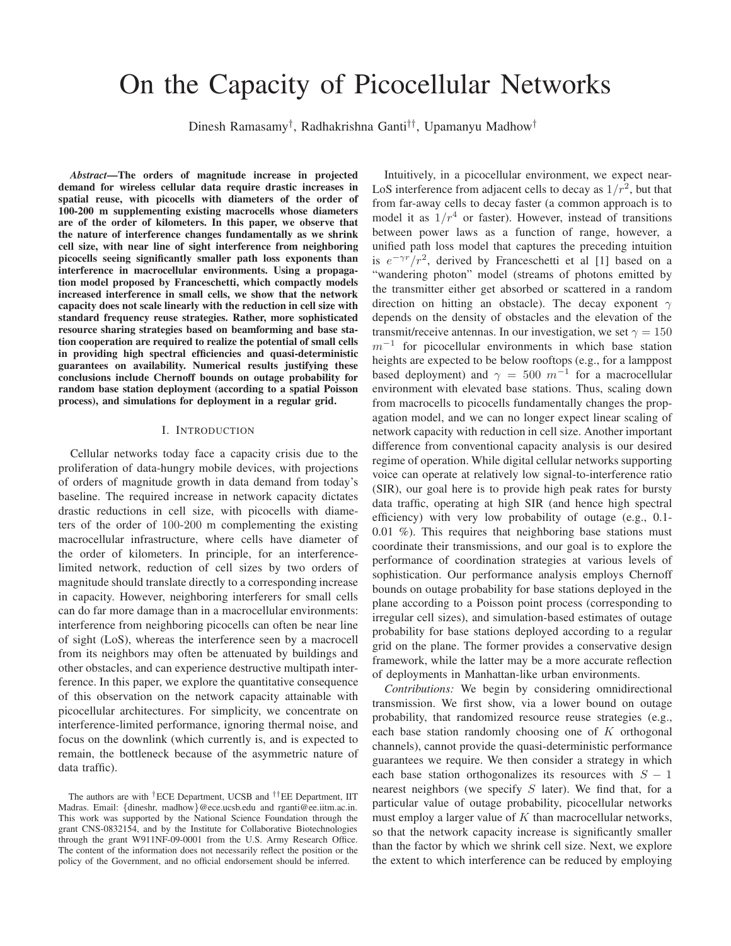# On the Capacity of Picocellular Networks

Dinesh Ramasamy† , Radhakrishna Ganti††, Upamanyu Madhow†

*Abstract***—The orders of magnitude increase in projected demand for wireless cellular data require drastic increases in spatial reuse, with picocells with diameters of the order of 100-200 m supplementing existing macrocells whose diameters are of the order of kilometers. In this paper, we observe that the nature of interference changes fundamentally as we shrink cell size, with near line of sight interference from neighboring picocells seeing significantly smaller path loss exponents than interference in macrocellular environments. Using a propagation model proposed by Franceschetti, which compactly models increased interference in small cells, we show that the network capacity does not scale linearly with the reduction in cell size with standard frequency reuse strategies. Rather, more sophisticated resource sharing strategies based on beamforming and base station cooperation are required to realize the potential of small cells in providing high spectral efficiencies and quasi-deterministic guarantees on availability. Numerical results justifying these conclusions include Chernoff bounds on outage probability for random base station deployment (according to a spatial Poisson process), and simulations for deployment in a regular grid.**

#### I. INTRODUCTION

Cellular networks today face a capacity crisis due to the proliferation of data-hungry mobile devices, with projections of orders of magnitude growth in data demand from today's baseline. The required increase in network capacity dictates drastic reductions in cell size, with picocells with diameters of the order of 100-200 m complementing the existing macrocellular infrastructure, where cells have diameter of the order of kilometers. In principle, for an interferencelimited network, reduction of cell sizes by two orders of magnitude should translate directly to a corresponding increase in capacity. However, neighboring interferers for small cells can do far more damage than in a macrocellular environments: interference from neighboring picocells can often be near line of sight (LoS), whereas the interference seen by a macrocell from its neighbors may often be attenuated by buildings and other obstacles, and can experience destructive multipath interference. In this paper, we explore the quantitative consequence of this observation on the network capacity attainable with picocellular architectures. For simplicity, we concentrate on interference-limited performance, ignoring thermal noise, and focus on the downlink (which currently is, and is expected to remain, the bottleneck because of the asymmetric nature of data traffic).

Intuitively, in a picocellular environment, we expect near-LoS interference from adjacent cells to decay as  $1/r^2$ , but that from far-away cells to decay faster (a common approach is to model it as  $1/r^4$  or faster). However, instead of transitions between power laws as a function of range, however, a unified path loss model that captures the preceding intuition is  $e^{-\gamma r}/r^2$ , derived by Franceschetti et al [1] based on a "wandering photon" model (streams of photons emitted by the transmitter either get absorbed or scattered in a random direction on hitting an obstacle). The decay exponent  $\gamma$ depends on the density of obstacles and the elevation of the transmit/receive antennas. In our investigation, we set  $\gamma = 150$  $m^{-1}$  for picocellular environments in which base station heights are expected to be below rooftops (e.g., for a lamppost based deployment) and  $\gamma = 500$   $m^{-1}$  for a macrocellular environment with elevated base stations. Thus, scaling down from macrocells to picocells fundamentally changes the propagation model, and we can no longer expect linear scaling of network capacity with reduction in cell size. Another important difference from conventional capacity analysis is our desired regime of operation. While digital cellular networks supporting voice can operate at relatively low signal-to-interference ratio (SIR), our goal here is to provide high peak rates for bursty data traffic, operating at high SIR (and hence high spectral efficiency) with very low probability of outage (e.g., 0.1- 0.01 %). This requires that neighboring base stations must coordinate their transmissions, and our goal is to explore the performance of coordination strategies at various levels of sophistication. Our performance analysis employs Chernoff bounds on outage probability for base stations deployed in the plane according to a Poisson point process (corresponding to irregular cell sizes), and simulation-based estimates of outage probability for base stations deployed according to a regular grid on the plane. The former provides a conservative design framework, while the latter may be a more accurate reflection of deployments in Manhattan-like urban environments.

*Contributions:* We begin by considering omnidirectional transmission. We first show, via a lower bound on outage probability, that randomized resource reuse strategies (e.g., each base station randomly choosing one of K orthogonal channels), cannot provide the quasi-deterministic performance guarantees we require. We then consider a strategy in which each base station orthogonalizes its resources with  $S - 1$ nearest neighbors (we specify  $S$  later). We find that, for a particular value of outage probability, picocellular networks must employ a larger value of  $K$  than macrocellular networks, so that the network capacity increase is significantly smaller than the factor by which we shrink cell size. Next, we explore the extent to which interference can be reduced by employing

The authors are with <sup>†</sup>ECE Department, UCSB and <sup>††</sup>EE Department, IIT Madras. Email: {dineshr, madhow}@ece.ucsb.edu and rganti@ee.iitm.ac.in. This work was supported by the National Science Foundation through the grant CNS-0832154, and by the Institute for Collaborative Biotechnologies through the grant W911NF-09-0001 from the U.S. Army Research Office. The content of the information does not necessarily reflect the position or the policy of the Government, and no official endorsement should be inferred.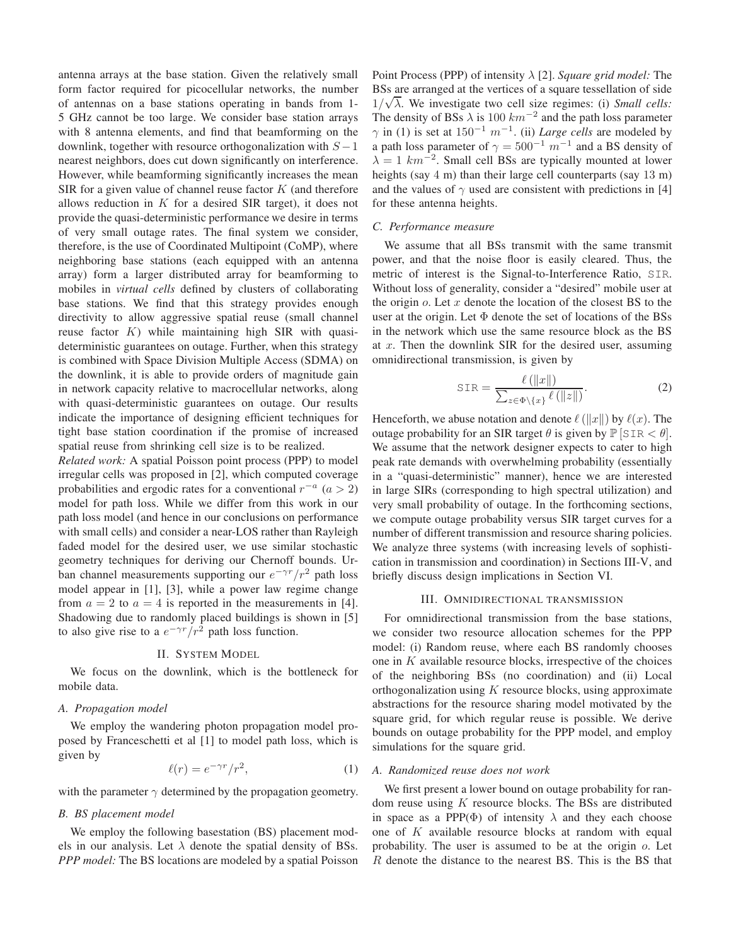antenna arrays at the base station. Given the relatively small form factor required for picocellular networks, the number of antennas on a base stations operating in bands from 1- 5 GHz cannot be too large. We consider base station arrays with 8 antenna elements, and find that beamforming on the downlink, together with resource orthogonalization with  $S - 1$ nearest neighbors, does cut down significantly on interference. However, while beamforming significantly increases the mean SIR for a given value of channel reuse factor  $K$  (and therefore allows reduction in  $K$  for a desired SIR target), it does not provide the quasi-deterministic performance we desire in terms of very small outage rates. The final system we consider, therefore, is the use of Coordinated Multipoint (CoMP), where neighboring base stations (each equipped with an antenna array) form a larger distributed array for beamforming to mobiles in *virtual cells* defined by clusters of collaborating base stations. We find that this strategy provides enough directivity to allow aggressive spatial reuse (small channel reuse factor  $K$ ) while maintaining high SIR with quasideterministic guarantees on outage. Further, when this strategy is combined with Space Division Multiple Access (SDMA) on the downlink, it is able to provide orders of magnitude gain in network capacity relative to macrocellular networks, along with quasi-deterministic guarantees on outage. Our results indicate the importance of designing efficient techniques for tight base station coordination if the promise of increased spatial reuse from shrinking cell size is to be realized.

*Related work:* A spatial Poisson point process (PPP) to model irregular cells was proposed in [2], which computed coverage probabilities and ergodic rates for a conventional  $r^{-a}$  ( $a > 2$ ) model for path loss. While we differ from this work in our path loss model (and hence in our conclusions on performance with small cells) and consider a near-LOS rather than Rayleigh faded model for the desired user, we use similar stochastic geometry techniques for deriving our Chernoff bounds. Urban channel measurements supporting our  $e^{-\gamma r}/r^2$  path loss model appear in [1], [3], while a power law regime change from  $a = 2$  to  $a = 4$  is reported in the measurements in [4]. Shadowing due to randomly placed buildings is shown in [5] to also give rise to a  $e^{-\gamma r}/r^2$  path loss function.

## II. SYSTEM MODEL

We focus on the downlink, which is the bottleneck for mobile data.

## *A. Propagation model*

We employ the wandering photon propagation model proposed by Franceschetti et al [1] to model path loss, which is given by

$$
\ell(r) = e^{-\gamma r}/r^2,\tag{1}
$$

with the parameter  $\gamma$  determined by the propagation geometry.

## *B. BS placement model*

We employ the following basestation (BS) placement models in our analysis. Let  $\lambda$  denote the spatial density of BSs. *PPP model:* The BS locations are modeled by a spatial Poisson Point Process (PPP) of intensity λ [2]. *Square grid model:* The BSs are arranged at the vertices of a square tessellation of side  $1/\sqrt{\lambda}$ . We investigate two cell size regimes: (i) *Small cells:* The density of BSs  $\lambda$  is 100  $km^{-2}$  and the path loss parameter  $\gamma$  in (1) is set at 150<sup>-1</sup> m<sup>-1</sup>. (ii) *Large cells* are modeled by a path loss parameter of  $\gamma = 500^{-1}$   $m^{-1}$  and a BS density of  $\lambda = 1$  km<sup>-2</sup>. Small cell BSs are typically mounted at lower heights (say 4 m) than their large cell counterparts (say 13 m) and the values of  $\gamma$  used are consistent with predictions in [4] for these antenna heights.

#### *C. Performance measure*

We assume that all BSs transmit with the same transmit power, and that the noise floor is easily cleared. Thus, the metric of interest is the Signal-to-Interference Ratio, SIR. Without loss of generality, consider a "desired" mobile user at the origin  $o$ . Let  $x$  denote the location of the closest BS to the user at the origin. Let  $\Phi$  denote the set of locations of the BSs in the network which use the same resource block as the BS at  $x$ . Then the downlink SIR for the desired user, assuming omnidirectional transmission, is given by

$$
SIR = \frac{\ell(\|x\|)}{\sum_{z \in \Phi \setminus \{x\}} \ell(\|z\|)}.
$$
 (2)

Henceforth, we abuse notation and denote  $\ell(\Vert x \Vert)$  by  $\ell(x)$ . The outage probability for an SIR target  $\theta$  is given by  $\mathbb{P}$  [SIR  $< \theta$ ]. We assume that the network designer expects to cater to high peak rate demands with overwhelming probability (essentially in a "quasi-deterministic" manner), hence we are interested in large SIRs (corresponding to high spectral utilization) and very small probability of outage. In the forthcoming sections, we compute outage probability versus SIR target curves for a number of different transmission and resource sharing policies. We analyze three systems (with increasing levels of sophistication in transmission and coordination) in Sections III-V, and briefly discuss design implications in Section VI.

#### III. OMNIDIRECTIONAL TRANSMISSION

For omnidirectional transmission from the base stations, we consider two resource allocation schemes for the PPP model: (i) Random reuse, where each BS randomly chooses one in  $K$  available resource blocks, irrespective of the choices of the neighboring BSs (no coordination) and (ii) Local orthogonalization using  $K$  resource blocks, using approximate abstractions for the resource sharing model motivated by the square grid, for which regular reuse is possible. We derive bounds on outage probability for the PPP model, and employ simulations for the square grid.

## *A. Randomized reuse does not work*

We first present a lower bound on outage probability for random reuse using K resource blocks. The BSs are distributed in space as a PPP( $\Phi$ ) of intensity  $\lambda$  and they each choose one of K available resource blocks at random with equal probability. The user is assumed to be at the origin  $o$ . Let R denote the distance to the nearest BS. This is the BS that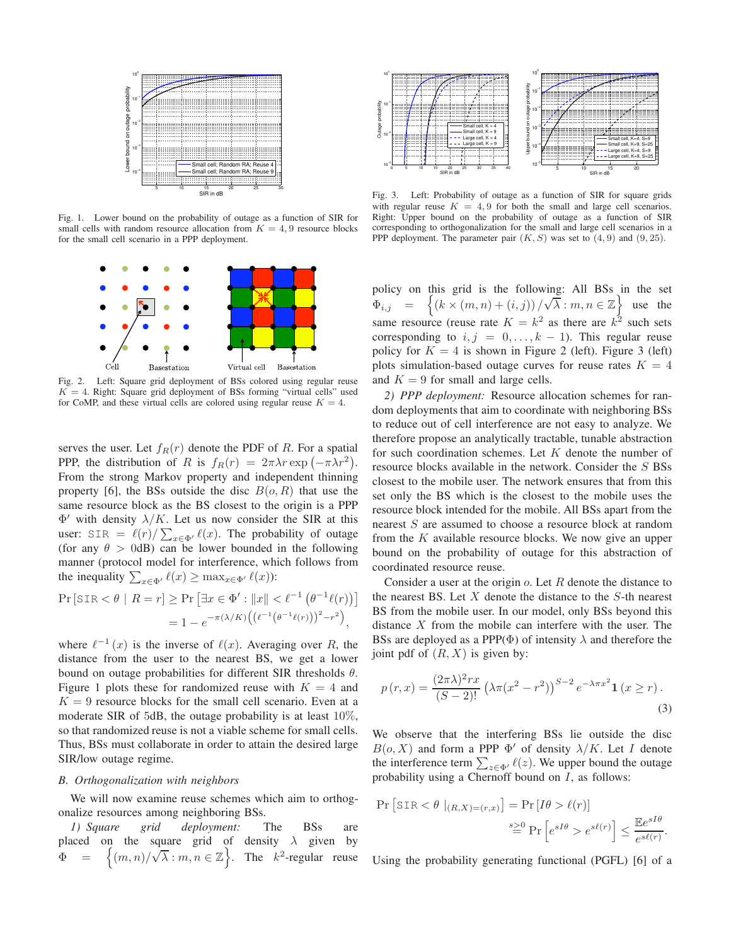

Fig. 1. Lower bound on the probability of outage as a function of SIR for small cells with random resource allocation from  $K = 4, 9$  resource blocks for the small cell scenario in a PPP deployment.



Fig. 2. Left: Square grid deployment of BSs colored using regular reuse  $K = 4$ . Right: Square grid deployment of BSs forming "virtual cells" used for CoMP, and these virtual cells are colored using regular reuse  $K = 4$ .

serves the user. Let  $f_R(r)$  denote the PDF of R. For a spatial PPP, the distribution of R is  $f_R(r) = 2\pi\lambda r \exp(-\pi\lambda r^2)$ . From the strong Markov property and independent thinning property [6], the BSs outside the disc  $B(o, R)$  that use the same resource block as the BS closest to the origin is a PPP  $\Phi'$  with density  $\lambda/K$ . Let us now consider the SIR at this user:  $SIR = \ell(r)/\sum_{x \in \Phi'} \ell(x)$ . The probability of outage (for any  $\theta > 0$ dB) can be lower bounded in the following manner (protocol model for interference, which follows from the inequality  $\sum_{x \in \Phi'} \ell(x) \ge \max_{x \in \Phi'} \ell(x)$ :

$$
\Pr\left[\text{SIR} < \theta \mid R = r\right] \ge \Pr\left[\exists x \in \Phi': \|x\| < \ell^{-1}\left(\theta^{-1}\ell(r)\right)\right] \\
= 1 - e^{-\pi(\lambda/K)}\left(\left(\ell^{-1}\left(\theta^{-1}\ell(r)\right)\right)^2 - r^2\right),
$$

where  $\ell^{-1}(x)$  is the inverse of  $\ell(x)$ . Averaging over R, the distance from the user to the nearest BS, we get a lower bound on outage probabilities for different SIR thresholds  $\theta$ . Figure 1 plots these for randomized reuse with  $K = 4$  and  $K = 9$  resource blocks for the small cell scenario. Even at a moderate SIR of 5dB, the outage probability is at least 10%, so that randomized reuse is not a viable scheme for small cells. Thus, BSs must collaborate in order to attain the desired large SIR/low outage regime.

# *B. Orthogonalization with neighbors*

We will now examine reuse schemes which aim to orthogonalize resources among neighboring BSs.

*1) Square grid deployment:* The BSs are placed on the square grid of density  $\lambda$  given by  $\Phi$  =  $\{(m, n)/\sqrt{\lambda} : m, n \in \mathbb{Z}\}$ . The k<sup>2</sup>-regular reuse



Fig. 3. Left: Probability of outage as a function of SIR for square grids with regular reuse  $K = 4.9$  for both the small and large cell scenarios. Right: Upper bound on the probability of outage as a function of SIR corresponding to orthogonalization for the small and large cell scenarios in a PPP deployment. The parameter pair  $(K, S)$  was set to  $(4, 9)$  and  $(9, 25)$ .

policy on this grid is the following: All BSs in the set  $\Phi_{i,j} = \left\{ (k \times (m,n) + (i,j)) / \sqrt{\lambda} : m, n \in \mathbb{Z} \right\}$  use the same resource (reuse rate  $K = k^2$  as there are  $k^2$  such sets corresponding to  $i, j = 0, \ldots, k - 1$ . This regular reuse policy for  $K = 4$  is shown in Figure 2 (left). Figure 3 (left) plots simulation-based outage curves for reuse rates  $K = 4$ and  $K = 9$  for small and large cells.

*2) PPP deployment:* Resource allocation schemes for random deployments that aim to coordinate with neighboring BSs to reduce out of cell interference are not easy to analyze. We therefore propose an analytically tractable, tunable abstraction for such coordination schemes. Let  $K$  denote the number of resource blocks available in the network. Consider the S BSs closest to the mobile user. The network ensures that from this set only the BS which is the closest to the mobile uses the resource block intended for the mobile. All BSs apart from the nearest S are assumed to choose a resource block at random from the  $K$  available resource blocks. We now give an upper bound on the probability of outage for this abstraction of coordinated resource reuse.

Consider a user at the origin  $o$ . Let  $R$  denote the distance to the nearest BS. Let  $X$  denote the distance to the  $S$ -th nearest BS from the mobile user. In our model, only BSs beyond this distance  $X$  from the mobile can interfere with the user. The BSs are deployed as a PPP( $\Phi$ ) of intensity  $\lambda$  and therefore the joint pdf of  $(R, X)$  is given by:

$$
p(r,x) = \frac{(2\pi\lambda)^2 rx}{(S-2)!} \left(\lambda \pi (x^2 - r^2)\right)^{S-2} e^{-\lambda \pi x^2} \mathbf{1} \left(x \ge r\right).
$$
\n(3)

We observe that the interfering BSs lie outside the disc  $B(o, X)$  and form a PPP  $\Phi'$  of density  $\lambda/K$ . Let I denote the interference term  $\sum_{z \in \Phi'} \ell(z)$ . We upper bound the outage probability using a Chernoff bound on  $I$ , as follows:

$$
\Pr\left[\text{SIR} < \theta \mid_{(R,X)=(r,x)}\right] = \Pr\left[I\theta > \ell(r)\right]
$$
\n
$$
\stackrel{s \ge 0}{=} \Pr\left[e^{sI\theta} > e^{s\ell(r)}\right] \le \frac{\mathbb{E}e^{sI\theta}}{e^{s\ell(r)}}.
$$

Using the probability generating functional (PGFL) [6] of a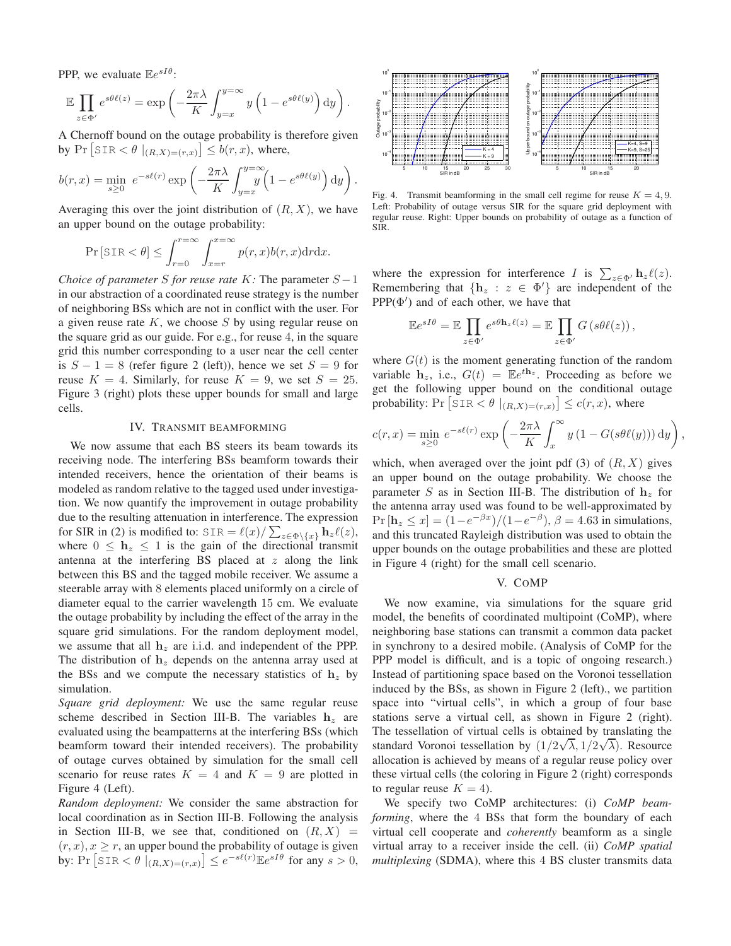PPP, we evaluate  $\mathbb{E}e^{sI\theta}$ :

$$
\mathbb{E} \prod_{z \in \Phi'} e^{s\theta \ell(z)} = \exp \left( -\frac{2\pi\lambda}{K} \int_{y=x}^{y=\infty} y \left( 1 - e^{s\theta \ell(y)} \right) dy \right).
$$

A Chernoff bound on the outage probability is therefore given by Pr  $\left[\text{SIR} < \theta \right]_{(R,X)=(r,x)} \right] \leq b(r,x)$ , where,

$$
b(r,x) = \min_{s \ge 0} e^{-s\ell(r)} \exp\left(-\frac{2\pi\lambda}{K} \int_{y=x}^{y=\infty} y \left(1 - e^{s\theta\ell(y)}\right) dy\right).
$$

Averaging this over the joint distribution of  $(R, X)$ , we have an upper bound on the outage probability:

$$
\Pr\left[\text{SIR} < \theta\right] \le \int_{r=0}^{r=\infty} \int_{x=r}^{x=\infty} p(r,x)b(r,x) \, \mathrm{d}r \, \mathrm{d}x.
$$

*Choice of parameter* S *for reuse rate* K: The parameter  $S - 1$ in our abstraction of a coordinated reuse strategy is the number of neighboring BSs which are not in conflict with the user. For a given reuse rate  $K$ , we choose  $S$  by using regular reuse on the square grid as our guide. For e.g., for reuse 4, in the square grid this number corresponding to a user near the cell center is  $S - 1 = 8$  (refer figure 2 (left)), hence we set  $S = 9$  for reuse  $K = 4$ . Similarly, for reuse  $K = 9$ , we set  $S = 25$ . Figure 3 (right) plots these upper bounds for small and large cells.

# IV. TRANSMIT BEAMFORMING

We now assume that each BS steers its beam towards its receiving node. The interfering BSs beamform towards their intended receivers, hence the orientation of their beams is modeled as random relative to the tagged used under investigation. We now quantify the improvement in outage probability due to the resulting attenuation in interference. The expression for SIR in (2) is modified to:  $SIR = \ell(x)/\sum_{z \in \Phi \setminus \{x\}} \mathbf{h}_z \ell(z)$ , where  $0 \leq h_z \leq 1$  is the gain of the directional transmit antenna at the interfering BS placed at  $z$  along the link between this BS and the tagged mobile receiver. We assume a steerable array with 8 elements placed uniformly on a circle of diameter equal to the carrier wavelength 15 cm. We evaluate the outage probability by including the effect of the array in the square grid simulations. For the random deployment model, we assume that all  $h<sub>z</sub>$  are i.i.d. and independent of the PPP. The distribution of  $h<sub>z</sub>$  depends on the antenna array used at the BSs and we compute the necessary statistics of  $h<sub>z</sub>$  by simulation.

*Square grid deployment:* We use the same regular reuse scheme described in Section III-B. The variables  $h<sub>z</sub>$  are evaluated using the beampatterns at the interfering BSs (which beamform toward their intended receivers). The probability of outage curves obtained by simulation for the small cell scenario for reuse rates  $K = 4$  and  $K = 9$  are plotted in Figure 4 (Left).

*Random deployment:* We consider the same abstraction for local coordination as in Section III-B. Following the analysis in Section III-B, we see that, conditioned on  $(R, X)$  =  $(r, x), x \geq r$ , an upper bound the probability of outage is given by:  $\Pr \left[ \text{SIR} < \theta \right]_{(R,X)=(r,x)} \right] \leq e^{-s\ell(r)} \mathbb{E}e^{sI\theta}$  for any  $s > 0$ ,



Fig. 4. Transmit beamforming in the small cell regime for reuse  $K = 4, 9$ . Left: Probability of outage versus SIR for the square grid deployment with regular reuse. Right: Upper bounds on probability of outage as a function of SIR.

where the expression for interference I is  $\sum_{z \in \Phi'} \mathbf{h}_z \ell(z)$ . Remembering that  $\{h_z : z \in \Phi'\}$  are independent of the  $PPP(\Phi')$  and of each other, we have that

$$
\mathbb{E}e^{sI\theta} = \mathbb{E}\prod_{z\in\Phi'}e^{s\theta\mathbf{h}_z\ell(z)} = \mathbb{E}\prod_{z\in\Phi'}G(s\theta\ell(z)),
$$

where  $G(t)$  is the moment generating function of the random variable  $h_z$ , i.e.,  $G(t) = \mathbb{E}e^{t h_z}$ . Proceeding as before we get the following upper bound on the conditional outage probability:  $Pr\left[\left|\frac{\text{SIR}}{\text{SIR}}\right| & \theta\right]_{(R,X)=(r,x)}\right] \leq c(r,x)$ , where

$$
c(r,x) = \min_{s \ge 0} e^{-s\ell(r)} \exp\left(-\frac{2\pi\lambda}{K} \int_x^\infty y\left(1 - G(s\theta\ell(y))\right) dy\right)
$$

,

which, when averaged over the joint pdf  $(3)$  of  $(R, X)$  gives an upper bound on the outage probability. We choose the parameter S as in Section III-B. The distribution of  $h<sub>z</sub>$  for the antenna array used was found to be well-approximated by  $Pr[h_z \le x] = (1 - e^{-\beta x})/(1 - e^{-\beta}), \beta = 4.63$  in simulations, and this truncated Rayleigh distribution was used to obtain the upper bounds on the outage probabilities and these are plotted in Figure 4 (right) for the small cell scenario.

## V. COMP

We now examine, via simulations for the square grid model, the benefits of coordinated multipoint (CoMP), where neighboring base stations can transmit a common data packet in synchrony to a desired mobile. (Analysis of CoMP for the PPP model is difficult, and is a topic of ongoing research.) Instead of partitioning space based on the Voronoi tessellation induced by the BSs, as shown in Figure 2 (left)., we partition space into "virtual cells", in which a group of four base stations serve a virtual cell, as shown in Figure 2 (right). The tessellation of virtual cells is obtained by translating the standard Voronoi tessellation by  $(1/2\sqrt{\lambda}, 1/2\sqrt{\lambda})$ . Resource allocation is achieved by means of a regular reuse policy over these virtual cells (the coloring in Figure 2 (right) corresponds to regular reuse  $K = 4$ ).

We specify two CoMP architectures: (i) *CoMP beamforming*, where the 4 BSs that form the boundary of each virtual cell cooperate and *coherently* beamform as a single virtual array to a receiver inside the cell. (ii) *CoMP spatial multiplexing* (SDMA), where this 4 BS cluster transmits data